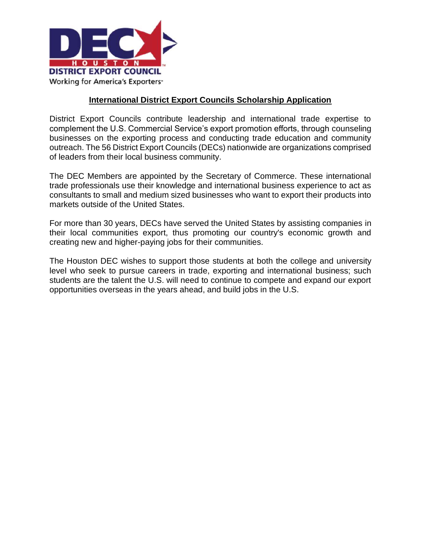

#### **International District Export Councils Scholarship Application**

District Export Councils contribute leadership and international trade expertise to complement the U.S. Commercial Service's export promotion efforts, through counseling businesses on the exporting process and conducting trade education and community outreach. The 56 District Export Councils (DECs) nationwide are organizations comprised of leaders from their local business community.

The DEC Members are appointed by the Secretary of Commerce. These international trade professionals use their knowledge and international business experience to act as consultants to small and medium sized businesses who want to export their products into markets outside of the United States.

For more than 30 years, DECs have served the United States by assisting companies in their local communities export, thus promoting our country's economic growth and creating new and higher-paying jobs for their communities.

The Houston DEC wishes to support those students at both the college and university level who seek to pursue careers in trade, exporting and international business; such students are the talent the U.S. will need to continue to compete and expand our export opportunities overseas in the years ahead, and build jobs in the U.S.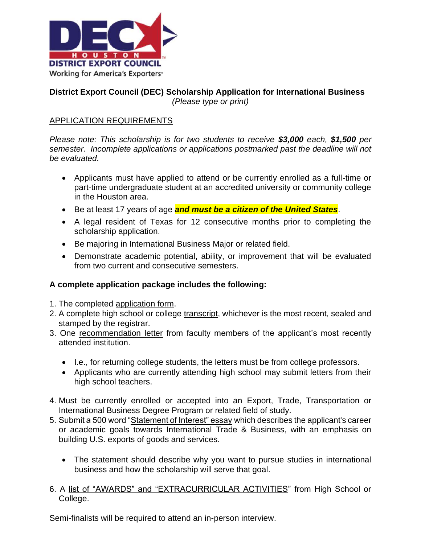

### **District Export Council (DEC) Scholarship Application for International Business** *(Please type or print)*

# APPLICATION REQUIREMENTS

*Please note: This scholarship is for two students to receive \$3,000 each, \$1,500 per semester. Incomplete applications or applications postmarked past the deadline will not be evaluated.*

- Applicants must have applied to attend or be currently enrolled as a full-time or part-time undergraduate student at an accredited university or community college in the Houston area.
- Be at least 17 years of age *and must be a citizen of the United States*.
- A legal resident of Texas for 12 consecutive months prior to completing the scholarship application.
- Be majoring in International Business Major or related field.
- Demonstrate academic potential, ability, or improvement that will be evaluated from two current and consecutive semesters.

#### **A complete application package includes the following:**

- 1. The completed application form.
- 2. A complete high school or college transcript, whichever is the most recent, sealed and stamped by the registrar.
- 3. One recommendation letter from faculty members of the applicant's most recently attended institution.
	- I.e., for returning college students, the letters must be from college professors.
	- Applicants who are currently attending high school may submit letters from their high school teachers.
- 4. Must be currently enrolled or accepted into an Export, Trade, Transportation or International Business Degree Program or related field of study.
- 5. Submit a 500 word "Statement of Interest" essay which describes the applicant's career or academic goals towards International Trade & Business, with an emphasis on building U.S. exports of goods and services.
	- The statement should describe why you want to pursue studies in international business and how the scholarship will serve that goal.
- 6. A list of "AWARDS" and "EXTRACURRICULAR ACTIVITIES" from High School or College.

Semi-finalists will be required to attend an in-person interview.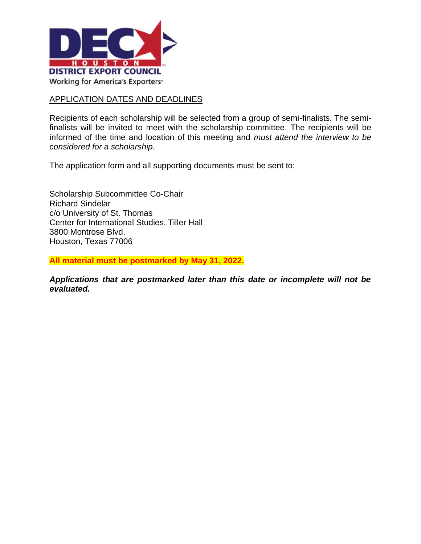

### APPLICATION DATES AND DEADLINES

Recipients of each scholarship will be selected from a group of semi-finalists. The semifinalists will be invited to meet with the scholarship committee. The recipients will be informed of the time and location of this meeting and *must attend the interview to be considered for a scholarship.* 

The application form and all supporting documents must be sent to:

Scholarship Subcommittee Co-Chair Richard Sindelar c/o University of St. Thomas Center for International Studies, Tiller Hall 3800 Montrose Blvd. Houston, Texas 77006

**All material must be postmarked by May 31, 2022.**

*Applications that are postmarked later than this date or incomplete will not be evaluated.*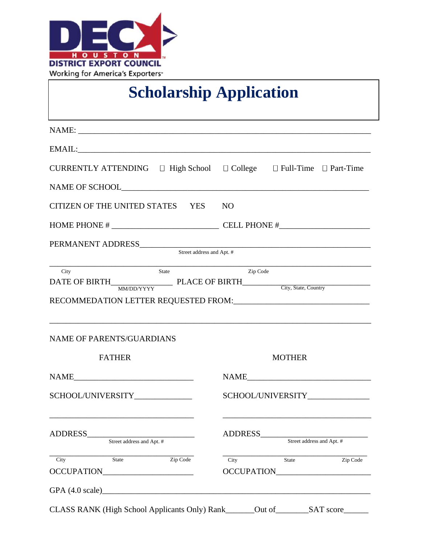

# **Scholarship Application**

| CURRENTLY ATTENDING $\Box$ High School $\Box$ College $\Box$ Full-Time $\Box$ Part-Time |                                                                                   |
|-----------------------------------------------------------------------------------------|-----------------------------------------------------------------------------------|
|                                                                                         |                                                                                   |
| CITIZEN OF THE UNITED STATES YES NO                                                     |                                                                                   |
|                                                                                         |                                                                                   |
| PERMANENT ADDRESS Street address and Apt. #                                             |                                                                                   |
|                                                                                         |                                                                                   |
|                                                                                         | ,我们也不能在这里的时候,我们也不能在这里的时候,我们也不能会在这里的时候,我们也不能会在这里的时候,我们也不能会在这里的时候,我们也不能会在这里的时候,我们也不 |
| <b>NAME OF PARENTS/GUARDIANS</b>                                                        |                                                                                   |
| <b>FATHER</b>                                                                           | <b>MOTHER</b>                                                                     |
| SCHOOL/UNIVERSITY                                                                       | SCHOOL/UNIVERSITY______________                                                   |
| ADDRESS_<br>Street address and Apt. #                                                   | ADDRESS_<br>Street address and Apt. #                                             |
| Zip Code<br>City<br><b>State</b>                                                        | Zip Code<br>State<br>City                                                         |
|                                                                                         | OCCUPATION                                                                        |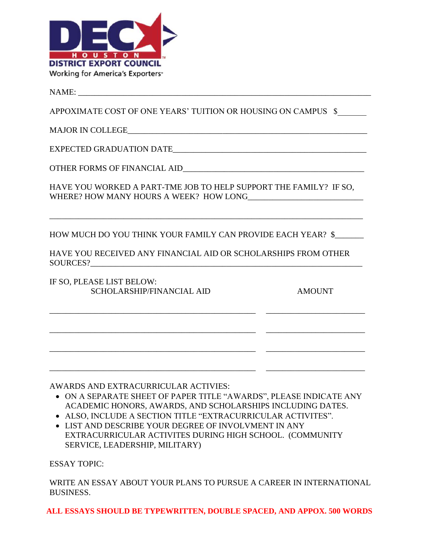

 $NAME:$ 

APPOXIMATE COST OF ONE YEARS' TUITION OR HOUSING ON CAMPUS \$

MAJOR IN COLLEGE\_\_\_\_\_\_\_\_\_\_\_\_\_\_\_\_\_\_\_\_\_\_\_\_\_\_\_\_\_\_\_\_\_\_\_\_\_\_\_\_\_\_\_\_\_\_\_\_\_\_\_\_\_\_\_\_\_\_

EXPECTED GRADUATION DATE\_\_\_\_\_\_\_\_\_\_\_\_\_\_\_\_\_\_\_\_\_\_\_\_\_\_\_\_\_\_\_\_\_\_\_\_\_\_\_\_\_\_\_\_\_\_\_

OTHER FORMS OF FINANCIAL AID\_\_\_\_\_\_\_\_\_\_\_\_\_\_\_\_\_\_\_\_\_\_\_\_\_\_\_\_\_\_\_\_\_\_\_\_\_\_\_\_\_\_\_\_

HAVE YOU WORKED A PART-TME JOB TO HELP SUPPORT THE FAMILY? IF SO, WHERE? HOW MANY HOURS A WEEK? HOW LONG

\_\_\_\_\_\_\_\_\_\_\_\_\_\_\_\_\_\_\_\_\_\_\_\_\_\_\_\_\_\_\_\_\_\_\_\_\_\_\_\_\_\_\_\_\_\_\_\_\_\_\_\_\_\_\_\_\_\_\_\_\_\_\_\_\_\_\_\_\_\_\_\_\_\_\_\_

HOW MUCH DO YOU THINK YOUR FAMILY CAN PROVIDE EACH YEAR? \$\_\_\_\_\_\_\_

HAVE YOU RECEIVED ANY FINANCIAL AID OR SCHOLARSHIPS FROM OTHER SOURCES?

\_\_\_\_\_\_\_\_\_\_\_\_\_\_\_\_\_\_\_\_\_\_\_\_\_\_\_\_\_\_\_\_\_\_\_\_\_\_\_\_\_\_\_\_\_\_\_\_\_\_ \_\_\_\_\_\_\_\_\_\_\_\_\_\_\_\_\_\_\_\_\_\_\_\_

\_\_\_\_\_\_\_\_\_\_\_\_\_\_\_\_\_\_\_\_\_\_\_\_\_\_\_\_\_\_\_\_\_\_\_\_\_\_\_\_\_\_\_\_\_\_\_\_\_\_ \_\_\_\_\_\_\_\_\_\_\_\_\_\_\_\_\_\_\_\_\_\_\_\_

\_\_\_\_\_\_\_\_\_\_\_\_\_\_\_\_\_\_\_\_\_\_\_\_\_\_\_\_\_\_\_\_\_\_\_\_\_\_\_\_\_\_\_\_\_\_\_\_\_\_ \_\_\_\_\_\_\_\_\_\_\_\_\_\_\_\_\_\_\_\_\_\_\_\_

IF SO, PLEASE LIST BELOW: SCHOLARSHIP/FINANCIAL AID AMOUNT

AWARDS AND EXTRACURRICULAR ACTIVIES:

- ON A SEPARATE SHEET OF PAPER TITLE "AWARDS", PLEASE INDICATE ANY ACADEMIC HONORS, AWARDS, AND SCHOLARSHIPS INCLUDING DATES.
- ALSO, INCLUDE A SECTION TITLE "EXTRACURRICULAR ACTIVITES".
- LIST AND DESCRIBE YOUR DEGREE OF INVOLVMENT IN ANY EXTRACURRICULAR ACTIVITES DURING HIGH SCHOOL. (COMMUNITY SERVICE, LEADERSHIP, MILITARY)

ESSAY TOPIC:

WRITE AN ESSAY ABOUT YOUR PLANS TO PURSUE A CAREER IN INTERNATIONAL BUSINESS.

**ALL ESSAYS SHOULD BE TYPEWRITTEN, DOUBLE SPACED, AND APPOX. 500 WORDS**